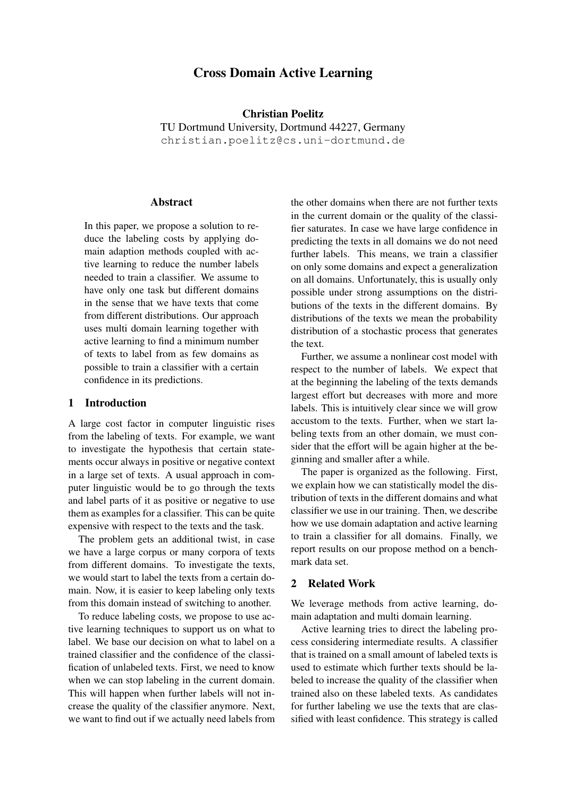# Cross Domain Active Learning

Christian Poelitz TU Dortmund University, Dortmund 44227, Germany christian.poelitz@cs.uni-dortmund.de

### Abstract

In this paper, we propose a solution to reduce the labeling costs by applying domain adaption methods coupled with active learning to reduce the number labels needed to train a classifier. We assume to have only one task but different domains in the sense that we have texts that come from different distributions. Our approach uses multi domain learning together with active learning to find a minimum number of texts to label from as few domains as possible to train a classifier with a certain confidence in its predictions.

#### 1 Introduction

A large cost factor in computer linguistic rises from the labeling of texts. For example, we want to investigate the hypothesis that certain statements occur always in positive or negative context in a large set of texts. A usual approach in computer linguistic would be to go through the texts and label parts of it as positive or negative to use them as examples for a classifier. This can be quite expensive with respect to the texts and the task.

The problem gets an additional twist, in case we have a large corpus or many corpora of texts from different domains. To investigate the texts, we would start to label the texts from a certain domain. Now, it is easier to keep labeling only texts from this domain instead of switching to another.

To reduce labeling costs, we propose to use active learning techniques to support us on what to label. We base our decision on what to label on a trained classifier and the confidence of the classification of unlabeled texts. First, we need to know when we can stop labeling in the current domain. This will happen when further labels will not increase the quality of the classifier anymore. Next, we want to find out if we actually need labels from the other domains when there are not further texts in the current domain or the quality of the classifier saturates. In case we have large confidence in predicting the texts in all domains we do not need further labels. This means, we train a classifier on only some domains and expect a generalization on all domains. Unfortunately, this is usually only possible under strong assumptions on the distributions of the texts in the different domains. By distributions of the texts we mean the probability distribution of a stochastic process that generates the text.

Further, we assume a nonlinear cost model with respect to the number of labels. We expect that at the beginning the labeling of the texts demands largest effort but decreases with more and more labels. This is intuitively clear since we will grow accustom to the texts. Further, when we start labeling texts from an other domain, we must consider that the effort will be again higher at the beginning and smaller after a while.

The paper is organized as the following. First, we explain how we can statistically model the distribution of texts in the different domains and what classifier we use in our training. Then, we describe how we use domain adaptation and active learning to train a classifier for all domains. Finally, we report results on our propose method on a benchmark data set.

#### 2 Related Work

We leverage methods from active learning, domain adaptation and multi domain learning.

Active learning tries to direct the labeling process considering intermediate results. A classifier that is trained on a small amount of labeled texts is used to estimate which further texts should be labeled to increase the quality of the classifier when trained also on these labeled texts. As candidates for further labeling we use the texts that are classified with least confidence. This strategy is called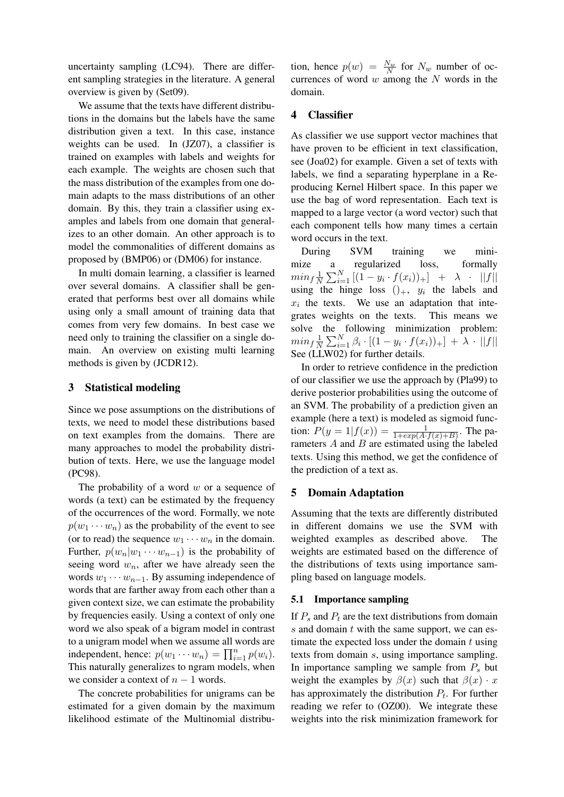uncertainty sampling (LC94). There are different sampling strategies in the literature. A general overview is given by (Set09).

We assume that the texts have different distributions in the domains but the labels have the same distribution given a text. In this case, instance weights can be used. In (JZ07), a classifier is trained on examples with labels and weights for each example. The weights are chosen such that the mass distribution of the examples from one domain adapts to the mass distributions of an other domain. By this, they train a classifier using examples and labels from one domain that generalizes to an other domain. An other approach is to model the commonalities of different domains as proposed by (BMP06) or (DM06) for instance.

In multi domain learning, a classifier is learned over several domains. A classifier shall be generated that performs best over all domains while using only a small amount of training data that comes from very few domains. In best case we need only to training the classifier on a single domain. An overview on existing multi learning methods is given by (JCDR12).

### 3 Statistical modeling

Since we pose assumptions on the distributions of texts, we need to model these distributions based on text examples from the domains. There are many approaches to model the probability distribution of texts. Here, we use the language model (PC98).

The probability of a word  $w$  or a sequence of words (a text) can be estimated by the frequency of the occurrences of the word. Formally, we note  $p(w_1 \cdots w_n)$  as the probability of the event to see (or to read) the sequence  $w_1 \cdots w_n$  in the domain. Further,  $p(w_n|w_1 \cdots w_{n-1})$  is the probability of seeing word  $w_n$ , after we have already seen the words  $w_1 \cdots w_{n-1}$ . By assuming independence of words that are farther away from each other than a given context size, we can estimate the probability by frequencies easily. Using a context of only one word we also speak of a bigram model in contrast to a unigram model when we assume all words are independent, hence:  $p(w_1 \cdots w_n) = \prod_{i=1}^n p(w_i)$ . This naturally generalizes to ngram models, when we consider a context of  $n - 1$  words.

The concrete probabilities for unigrams can be estimated for a given domain by the maximum likelihood estimate of the Multinomial distribu-

tion, hence  $p(w) = \frac{N_w}{N}$  for  $N_w$  number of occurrences of word  $w$  among the  $N$  words in the domain.

#### 4 Classifier

As classifier we use support vector machines that have proven to be efficient in text classification, see (Joa02) for example. Given a set of texts with labels, we find a separating hyperplane in a Reproducing Kernel Hilbert space. In this paper we use the bag of word representation. Each text is mapped to a large vector (a word vector) such that each component tells how many times a certain word occurs in the text.

During SVM training we minimize a regularized loss, formally  $min_f \frac{1}{N}$  $\frac{1}{N} \sum_{i=1}^{N} [(1 - y_i \cdot f(x_i))_{+}] + \lambda \cdot ||f||$ using the hinge loss  $()_{+}, y_i$  the labels and  $x_i$  the texts. We use an adaptation that integrates weights on the texts. This means we solve the following minimization problem:  $min_f \frac{1}{N}$  $\frac{1}{N}\sum_{i=1}^{N} \beta_i \cdot [(1-y_i \cdot f(x_i))_+] + \lambda \cdot ||f||$ See (LLW02) for further details.

In order to retrieve confidence in the prediction of our classifier we use the approach by (Pla99) to derive posterior probabilities using the outcome of an SVM. The probability of a prediction given an example (here a text) is modeled as sigmoid function:  $P(y = 1 | f(x)) = \frac{1}{1 + exp(A \cdot f(x) + B)}$ . The parameters  $A$  and  $B$  are estimated using the labeled texts. Using this method, we get the confidence of the prediction of a text as.

### 5 Domain Adaptation

Assuming that the texts are differently distributed in different domains we use the SVM with weighted examples as described above. The weights are estimated based on the difference of the distributions of texts using importance sampling based on language models.

#### 5.1 Importance sampling

If  $P_s$  and  $P_t$  are the text distributions from domain s and domain  $t$  with the same support, we can estimate the expected loss under the domain  $t$  using texts from domain s, using importance sampling. In importance sampling we sample from  $P_s$  but weight the examples by  $\beta(x)$  such that  $\beta(x) \cdot x$ has approximately the distribution  $P_t$ . For further reading we refer to (OZ00). We integrate these weights into the risk minimization framework for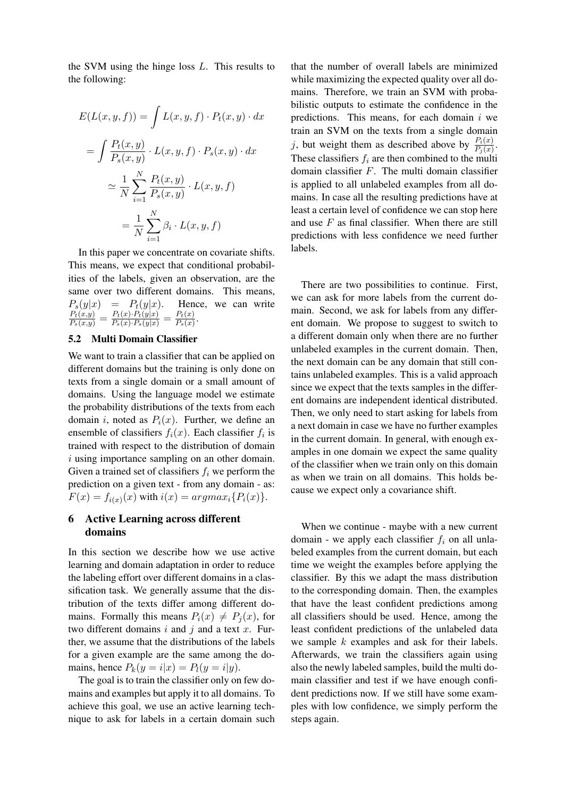the SVM using the hinge loss L. This results to the following:

$$
E(L(x, y, f)) = \int L(x, y, f) \cdot P_t(x, y) \cdot dx
$$

$$
= \int \frac{P_t(x, y)}{P_s(x, y)} \cdot L(x, y, f) \cdot P_s(x, y) \cdot dx
$$

$$
\approx \frac{1}{N} \sum_{i=1}^N \frac{P_t(x, y)}{P_s(x, y)} \cdot L(x, y, f)
$$

$$
= \frac{1}{N} \sum_{i=1}^N \beta_i \cdot L(x, y, f)
$$

In this paper we concentrate on covariate shifts. This means, we expect that conditional probabilities of the labels, given an observation, are the same over two different domains. This means,  $P_s(y|x) = P_t(y|x)$ . Hence, we can write  $\frac{P_t(x,y)}{P_s(x,y)} = \frac{P_t(x) \cdot P_t(y|x)}{P_s(x) \cdot P_s(y|x)} = \frac{P_t(x)}{P_s(x)}$  $\frac{F_t(x)}{P_s(x)}$ .

#### 5.2 Multi Domain Classifier

We want to train a classifier that can be applied on different domains but the training is only done on texts from a single domain or a small amount of domains. Using the language model we estimate the probability distributions of the texts from each domain i, noted as  $P_i(x)$ . Further, we define an ensemble of classifiers  $f_i(x)$ . Each classifier  $f_i$  is trained with respect to the distribution of domain i using importance sampling on an other domain. Given a trained set of classifiers  $f_i$  we perform the prediction on a given text - from any domain - as:  $F(x) = f_{i(x)}(x)$  with  $i(x) = argmax_i\{P_i(x)\}.$ 

## 6 Active Learning across different domains

In this section we describe how we use active learning and domain adaptation in order to reduce the labeling effort over different domains in a classification task. We generally assume that the distribution of the texts differ among different domains. Formally this means  $P_i(x) \neq P_i(x)$ , for two different domains i and j and a text x. Further, we assume that the distributions of the labels for a given example are the same among the domains, hence  $P_k(y = i|x) = P_l(y = i|y)$ .

The goal is to train the classifier only on few domains and examples but apply it to all domains. To achieve this goal, we use an active learning technique to ask for labels in a certain domain such

that the number of overall labels are minimized while maximizing the expected quality over all domains. Therefore, we train an SVM with probabilistic outputs to estimate the confidence in the predictions. This means, for each domain  $i$  we train an SVM on the texts from a single domain j, but weight them as described above by  $\frac{P_i(x)}{P_j(x)}$ . These classifiers  $f_i$  are then combined to the multi domain classifier  $F$ . The multi domain classifier is applied to all unlabeled examples from all domains. In case all the resulting predictions have at least a certain level of confidence we can stop here and use  $F$  as final classifier. When there are still predictions with less confidence we need further labels.

There are two possibilities to continue. First, we can ask for more labels from the current domain. Second, we ask for labels from any different domain. We propose to suggest to switch to a different domain only when there are no further unlabeled examples in the current domain. Then, the next domain can be any domain that still contains unlabeled examples. This is a valid approach since we expect that the texts samples in the different domains are independent identical distributed. Then, we only need to start asking for labels from a next domain in case we have no further examples in the current domain. In general, with enough examples in one domain we expect the same quality of the classifier when we train only on this domain as when we train on all domains. This holds because we expect only a covariance shift.

When we continue - maybe with a new current domain - we apply each classifier  $f_i$  on all unlabeled examples from the current domain, but each time we weight the examples before applying the classifier. By this we adapt the mass distribution to the corresponding domain. Then, the examples that have the least confident predictions among all classifiers should be used. Hence, among the least confident predictions of the unlabeled data we sample  $k$  examples and ask for their labels. Afterwards, we train the classifiers again using also the newly labeled samples, build the multi domain classifier and test if we have enough confident predictions now. If we still have some examples with low confidence, we simply perform the steps again.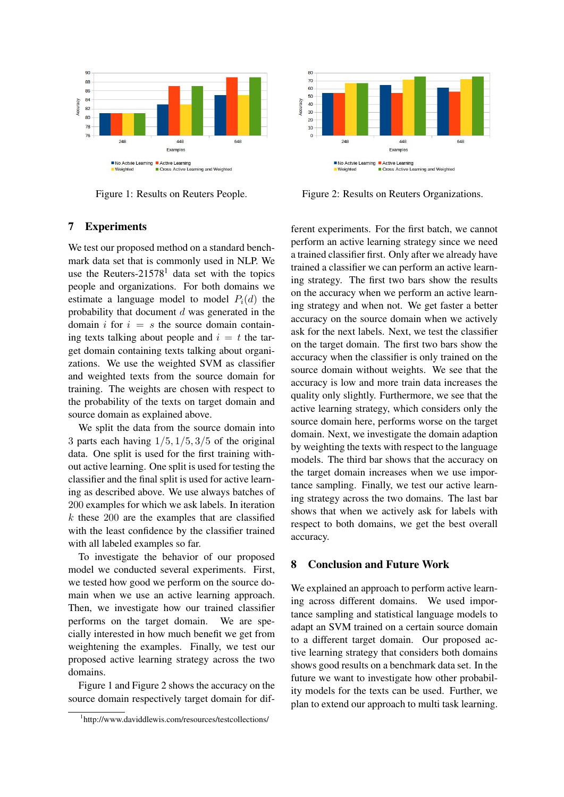

Figure 1: Results on Reuters People.

## 7 Experiments

We test our proposed method on a standard benchmark data set that is commonly used in NLP. We use the Reuters- $21578<sup>1</sup>$  data set with the topics people and organizations. For both domains we estimate a language model to model  $P_i(d)$  the probability that document  $d$  was generated in the domain i for  $i = s$  the source domain containing texts talking about people and  $i = t$  the target domain containing texts talking about organizations. We use the weighted SVM as classifier and weighted texts from the source domain for training. The weights are chosen with respect to the probability of the texts on target domain and source domain as explained above.

We split the data from the source domain into 3 parts each having  $1/5$ ,  $1/5$ ,  $3/5$  of the original data. One split is used for the first training without active learning. One split is used for testing the classifier and the final split is used for active learning as described above. We use always batches of 200 examples for which we ask labels. In iteration  $k$  these 200 are the examples that are classified with the least confidence by the classifier trained with all labeled examples so far.

To investigate the behavior of our proposed model we conducted several experiments. First, we tested how good we perform on the source domain when we use an active learning approach. Then, we investigate how our trained classifier performs on the target domain. We are specially interested in how much benefit we get from weightening the examples. Finally, we test our proposed active learning strategy across the two domains.

Figure 1 and Figure 2 shows the accuracy on the source domain respectively target domain for dif-



Figure 2: Results on Reuters Organizations.

ferent experiments. For the first batch, we cannot perform an active learning strategy since we need a trained classifier first. Only after we already have trained a classifier we can perform an active learning strategy. The first two bars show the results on the accuracy when we perform an active learning strategy and when not. We get faster a better accuracy on the source domain when we actively ask for the next labels. Next, we test the classifier on the target domain. The first two bars show the accuracy when the classifier is only trained on the source domain without weights. We see that the accuracy is low and more train data increases the quality only slightly. Furthermore, we see that the active learning strategy, which considers only the source domain here, performs worse on the target domain. Next, we investigate the domain adaption by weighting the texts with respect to the language models. The third bar shows that the accuracy on the target domain increases when we use importance sampling. Finally, we test our active learning strategy across the two domains. The last bar shows that when we actively ask for labels with respect to both domains, we get the best overall accuracy.

### 8 Conclusion and Future Work

We explained an approach to perform active learning across different domains. We used importance sampling and statistical language models to adapt an SVM trained on a certain source domain to a different target domain. Our proposed active learning strategy that considers both domains shows good results on a benchmark data set. In the future we want to investigate how other probability models for the texts can be used. Further, we plan to extend our approach to multi task learning.

<sup>1</sup> http://www.daviddlewis.com/resources/testcollections/